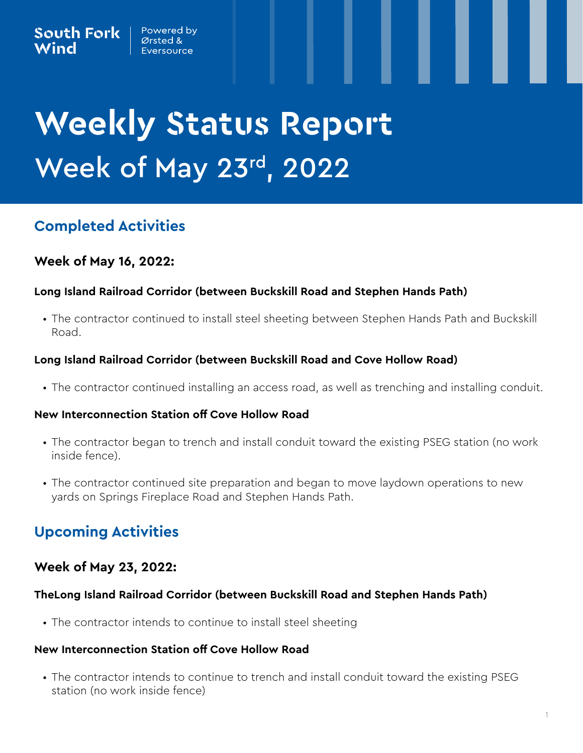# **Weekly Status Report** Week of May 23rd, 2022

# **Completed Activities**

## **Week of May 16, 2022:**

#### **Long Island Railroad Corridor (between Buckskill Road and Stephen Hands Path)**

• The contractor continued to install steel sheeting between Stephen Hands Path and Buckskill Road.

#### **Long Island Railroad Corridor (between Buckskill Road and Cove Hollow Road)**

• The contractor continued installing an access road, as well as trenching and installing conduit.

#### **New Interconnection Station off Cove Hollow Road**

- The contractor began to trench and install conduit toward the existing PSEG station (no work inside fence).
- The contractor continued site preparation and began to move laydown operations to new yards on Springs Fireplace Road and Stephen Hands Path.

# **Upcoming Activities**

## **Week of May 23, 2022:**

#### **TheLong Island Railroad Corridor (between Buckskill Road and Stephen Hands Path)**

• The contractor intends to continue to install steel sheeting

#### **New Interconnection Station off Cove Hollow Road**

• The contractor intends to continue to trench and install conduit toward the existing PSEG station (no work inside fence)